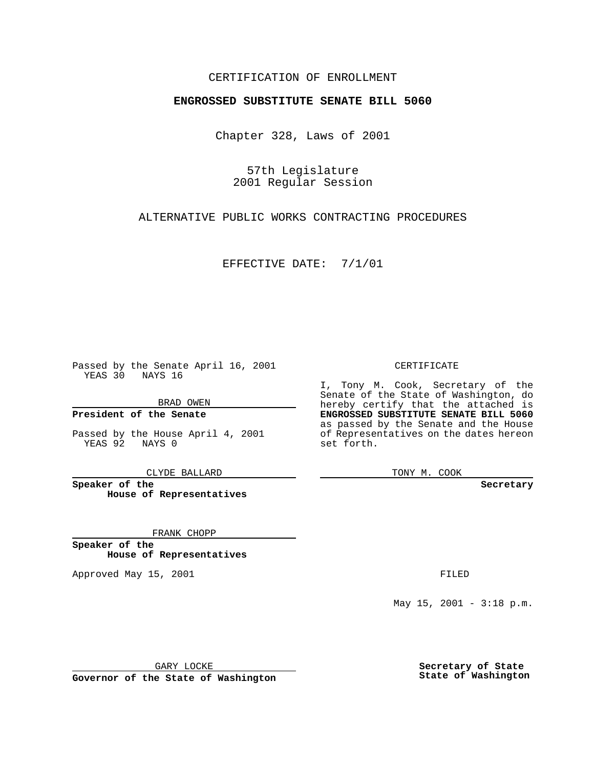## CERTIFICATION OF ENROLLMENT

## **ENGROSSED SUBSTITUTE SENATE BILL 5060**

Chapter 328, Laws of 2001

57th Legislature 2001 Regular Session

ALTERNATIVE PUBLIC WORKS CONTRACTING PROCEDURES

EFFECTIVE DATE: 7/1/01

Passed by the Senate April 16, 2001 YEAS 30 NAYS 16

BRAD OWEN

**President of the Senate**

Passed by the House April 4, 2001 YEAS 92 NAYS 0

CLYDE BALLARD

**Speaker of the House of Representatives**

FRANK CHOPP

**Speaker of the House of Representatives**

Approved May 15, 2001 **FILED** 

CERTIFICATE

I, Tony M. Cook, Secretary of the Senate of the State of Washington, do hereby certify that the attached is **ENGROSSED SUBSTITUTE SENATE BILL 5060** as passed by the Senate and the House of Representatives on the dates hereon set forth.

TONY M. COOK

**Secretary**

May  $15$ ,  $2001 - 3:18$  p.m.

GARY LOCKE

**Governor of the State of Washington**

**Secretary of State State of Washington**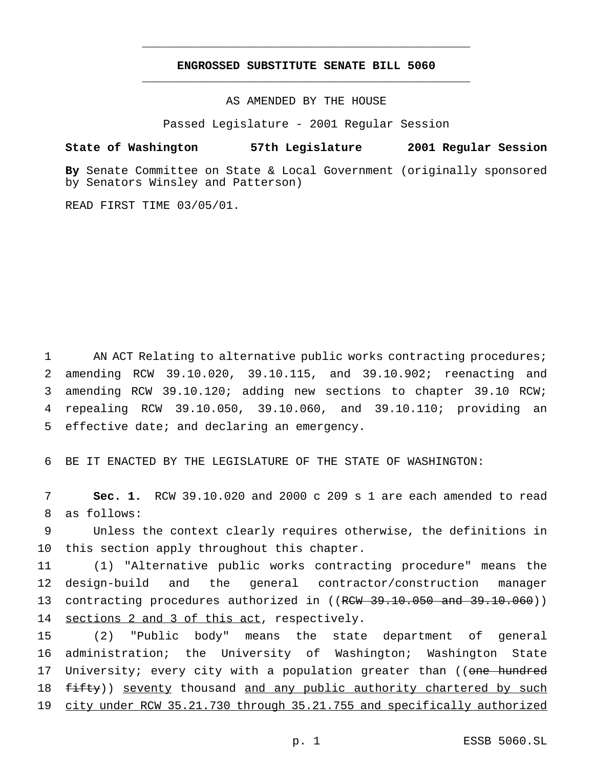## **ENGROSSED SUBSTITUTE SENATE BILL 5060** \_\_\_\_\_\_\_\_\_\_\_\_\_\_\_\_\_\_\_\_\_\_\_\_\_\_\_\_\_\_\_\_\_\_\_\_\_\_\_\_\_\_\_\_\_\_\_

\_\_\_\_\_\_\_\_\_\_\_\_\_\_\_\_\_\_\_\_\_\_\_\_\_\_\_\_\_\_\_\_\_\_\_\_\_\_\_\_\_\_\_\_\_\_\_

AS AMENDED BY THE HOUSE

Passed Legislature - 2001 Regular Session

## **State of Washington 57th Legislature 2001 Regular Session**

**By** Senate Committee on State & Local Government (originally sponsored by Senators Winsley and Patterson)

READ FIRST TIME 03/05/01.

 AN ACT Relating to alternative public works contracting procedures; amending RCW 39.10.020, 39.10.115, and 39.10.902; reenacting and amending RCW 39.10.120; adding new sections to chapter 39.10 RCW; repealing RCW 39.10.050, 39.10.060, and 39.10.110; providing an effective date; and declaring an emergency.

6 BE IT ENACTED BY THE LEGISLATURE OF THE STATE OF WASHINGTON:

7 **Sec. 1.** RCW 39.10.020 and 2000 c 209 s 1 are each amended to read 8 as follows:

9 Unless the context clearly requires otherwise, the definitions in 10 this section apply throughout this chapter.

11 (1) "Alternative public works contracting procedure" means the 12 design-build and the general contractor/construction manager 13 contracting procedures authorized in ((RCW 39.10.050 and 39.10.060)) 14 sections 2 and 3 of this act, respectively.

15 (2) "Public body" means the state department of general 16 administration; the University of Washington; Washington State 17 University; every city with a population greater than ((one hundred 18 fifty)) seventy thousand and any public authority chartered by such 19 city under RCW 35.21.730 through 35.21.755 and specifically authorized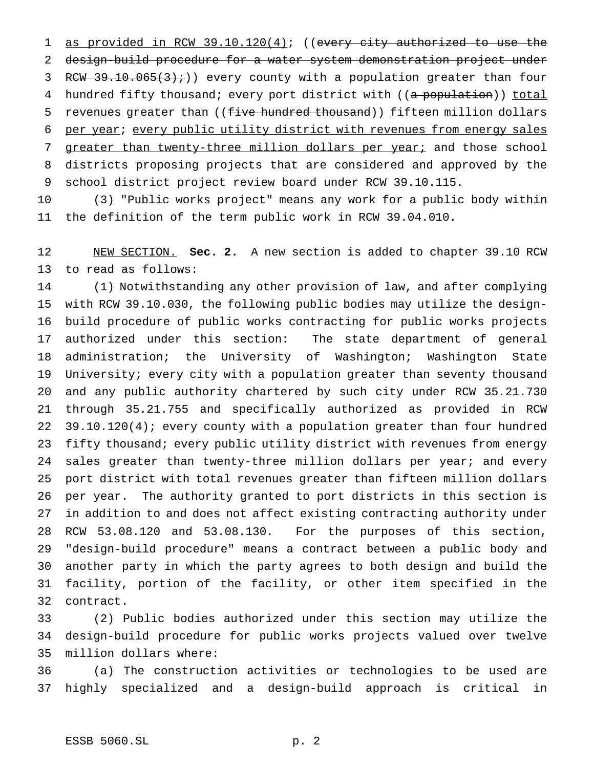1 as provided in RCW 39.10.120(4); ((every city authorized to use the design-build procedure for a water system demonstration project under 3 RCW  $39.10.065(3)$ ;)) every county with a population greater than four 4 hundred fifty thousand; every port district with ((a population)) total 5 revenues greater than ((five hundred thousand)) fifteen million dollars per year; every public utility district with revenues from energy sales 7 greater than twenty-three million dollars per year; and those school districts proposing projects that are considered and approved by the school district project review board under RCW 39.10.115.

 (3) "Public works project" means any work for a public body within the definition of the term public work in RCW 39.04.010.

 NEW SECTION. **Sec. 2.** A new section is added to chapter 39.10 RCW to read as follows:

 (1) Notwithstanding any other provision of law, and after complying with RCW 39.10.030, the following public bodies may utilize the design- build procedure of public works contracting for public works projects authorized under this section: The state department of general administration; the University of Washington; Washington State University; every city with a population greater than seventy thousand and any public authority chartered by such city under RCW 35.21.730 through 35.21.755 and specifically authorized as provided in RCW 39.10.120(4); every county with a population greater than four hundred fifty thousand; every public utility district with revenues from energy 24 sales greater than twenty-three million dollars per year; and every port district with total revenues greater than fifteen million dollars per year. The authority granted to port districts in this section is in addition to and does not affect existing contracting authority under RCW 53.08.120 and 53.08.130. For the purposes of this section, "design-build procedure" means a contract between a public body and another party in which the party agrees to both design and build the facility, portion of the facility, or other item specified in the contract.

 (2) Public bodies authorized under this section may utilize the design-build procedure for public works projects valued over twelve million dollars where:

 (a) The construction activities or technologies to be used are highly specialized and a design-build approach is critical in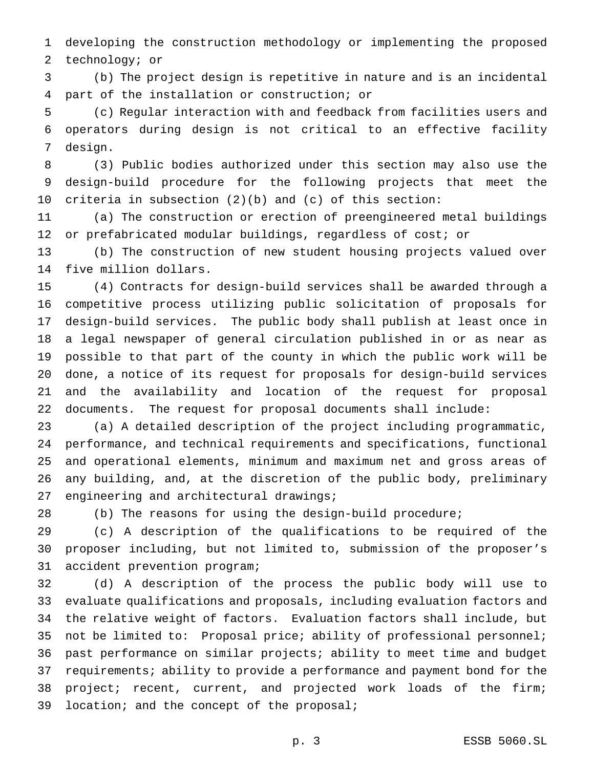developing the construction methodology or implementing the proposed technology; or

 (b) The project design is repetitive in nature and is an incidental part of the installation or construction; or

 (c) Regular interaction with and feedback from facilities users and operators during design is not critical to an effective facility design.

 (3) Public bodies authorized under this section may also use the design-build procedure for the following projects that meet the criteria in subsection (2)(b) and (c) of this section:

 (a) The construction or erection of preengineered metal buildings or prefabricated modular buildings, regardless of cost; or

 (b) The construction of new student housing projects valued over five million dollars.

 (4) Contracts for design-build services shall be awarded through a competitive process utilizing public solicitation of proposals for design-build services. The public body shall publish at least once in a legal newspaper of general circulation published in or as near as possible to that part of the county in which the public work will be done, a notice of its request for proposals for design-build services and the availability and location of the request for proposal documents. The request for proposal documents shall include:

 (a) A detailed description of the project including programmatic, performance, and technical requirements and specifications, functional and operational elements, minimum and maximum net and gross areas of any building, and, at the discretion of the public body, preliminary engineering and architectural drawings;

(b) The reasons for using the design-build procedure;

 (c) A description of the qualifications to be required of the proposer including, but not limited to, submission of the proposer's accident prevention program;

 (d) A description of the process the public body will use to evaluate qualifications and proposals, including evaluation factors and the relative weight of factors. Evaluation factors shall include, but not be limited to: Proposal price; ability of professional personnel; past performance on similar projects; ability to meet time and budget requirements; ability to provide a performance and payment bond for the project; recent, current, and projected work loads of the firm; 39 location; and the concept of the proposal;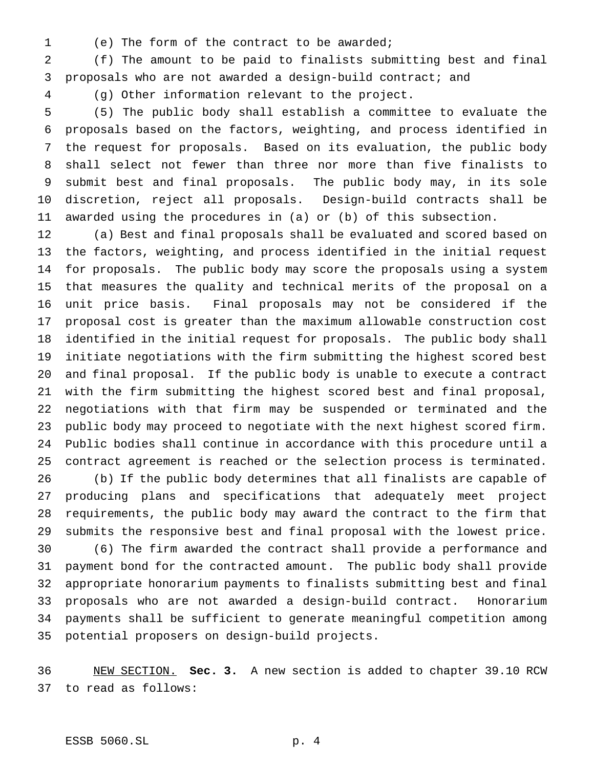- 
- (e) The form of the contract to be awarded;

 (f) The amount to be paid to finalists submitting best and final proposals who are not awarded a design-build contract; and

(g) Other information relevant to the project.

 (5) The public body shall establish a committee to evaluate the proposals based on the factors, weighting, and process identified in the request for proposals. Based on its evaluation, the public body shall select not fewer than three nor more than five finalists to submit best and final proposals. The public body may, in its sole discretion, reject all proposals. Design-build contracts shall be awarded using the procedures in (a) or (b) of this subsection.

 (a) Best and final proposals shall be evaluated and scored based on the factors, weighting, and process identified in the initial request for proposals. The public body may score the proposals using a system that measures the quality and technical merits of the proposal on a unit price basis. Final proposals may not be considered if the proposal cost is greater than the maximum allowable construction cost identified in the initial request for proposals. The public body shall initiate negotiations with the firm submitting the highest scored best and final proposal. If the public body is unable to execute a contract with the firm submitting the highest scored best and final proposal, negotiations with that firm may be suspended or terminated and the public body may proceed to negotiate with the next highest scored firm. Public bodies shall continue in accordance with this procedure until a contract agreement is reached or the selection process is terminated.

 (b) If the public body determines that all finalists are capable of producing plans and specifications that adequately meet project requirements, the public body may award the contract to the firm that submits the responsive best and final proposal with the lowest price.

 (6) The firm awarded the contract shall provide a performance and payment bond for the contracted amount. The public body shall provide appropriate honorarium payments to finalists submitting best and final proposals who are not awarded a design-build contract. Honorarium payments shall be sufficient to generate meaningful competition among potential proposers on design-build projects.

 NEW SECTION. **Sec. 3.** A new section is added to chapter 39.10 RCW to read as follows: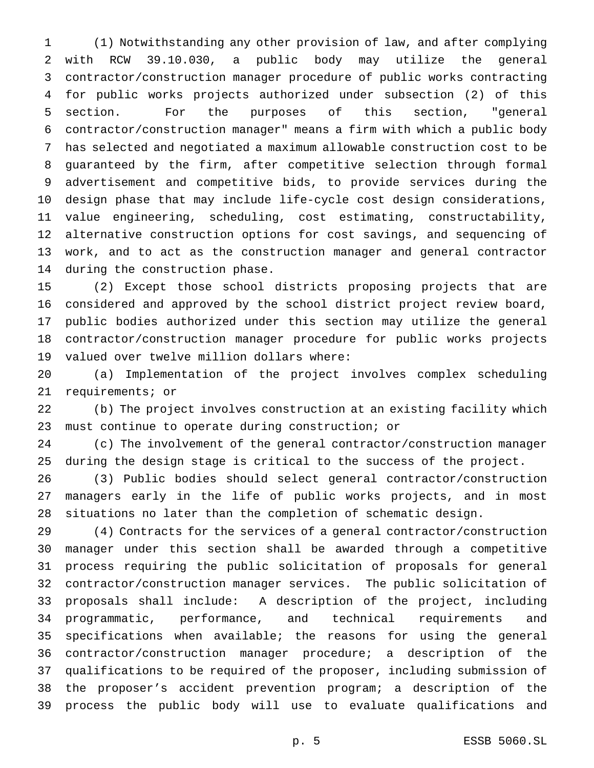(1) Notwithstanding any other provision of law, and after complying with RCW 39.10.030, a public body may utilize the general contractor/construction manager procedure of public works contracting for public works projects authorized under subsection (2) of this section. For the purposes of this section, "general contractor/construction manager" means a firm with which a public body has selected and negotiated a maximum allowable construction cost to be guaranteed by the firm, after competitive selection through formal advertisement and competitive bids, to provide services during the design phase that may include life-cycle cost design considerations, value engineering, scheduling, cost estimating, constructability, alternative construction options for cost savings, and sequencing of work, and to act as the construction manager and general contractor during the construction phase.

 (2) Except those school districts proposing projects that are considered and approved by the school district project review board, public bodies authorized under this section may utilize the general contractor/construction manager procedure for public works projects valued over twelve million dollars where:

 (a) Implementation of the project involves complex scheduling requirements; or

 (b) The project involves construction at an existing facility which must continue to operate during construction; or

 (c) The involvement of the general contractor/construction manager during the design stage is critical to the success of the project.

 (3) Public bodies should select general contractor/construction managers early in the life of public works projects, and in most situations no later than the completion of schematic design.

 (4) Contracts for the services of a general contractor/construction manager under this section shall be awarded through a competitive process requiring the public solicitation of proposals for general contractor/construction manager services. The public solicitation of proposals shall include: A description of the project, including programmatic, performance, and technical requirements and specifications when available; the reasons for using the general contractor/construction manager procedure; a description of the qualifications to be required of the proposer, including submission of the proposer's accident prevention program; a description of the process the public body will use to evaluate qualifications and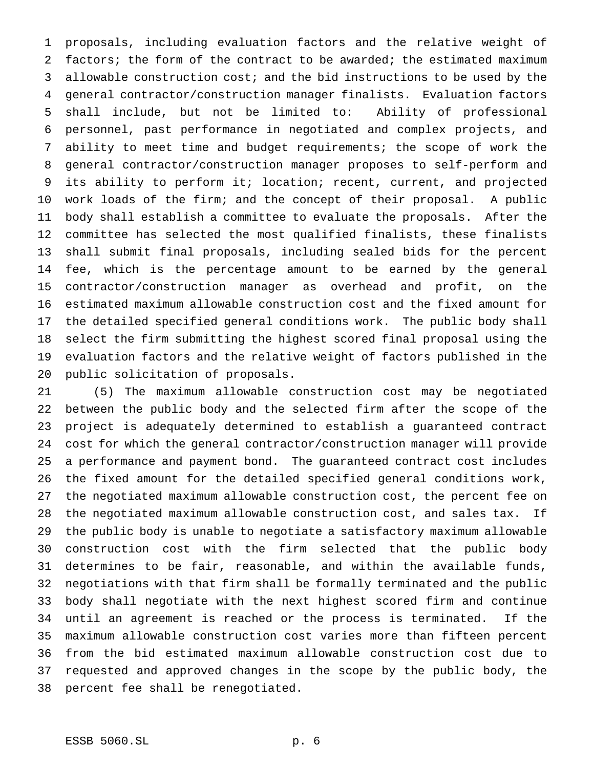proposals, including evaluation factors and the relative weight of factors; the form of the contract to be awarded; the estimated maximum allowable construction cost; and the bid instructions to be used by the general contractor/construction manager finalists. Evaluation factors shall include, but not be limited to: Ability of professional personnel, past performance in negotiated and complex projects, and ability to meet time and budget requirements; the scope of work the general contractor/construction manager proposes to self-perform and its ability to perform it; location; recent, current, and projected work loads of the firm; and the concept of their proposal. A public body shall establish a committee to evaluate the proposals. After the committee has selected the most qualified finalists, these finalists shall submit final proposals, including sealed bids for the percent fee, which is the percentage amount to be earned by the general contractor/construction manager as overhead and profit, on the estimated maximum allowable construction cost and the fixed amount for the detailed specified general conditions work. The public body shall select the firm submitting the highest scored final proposal using the evaluation factors and the relative weight of factors published in the public solicitation of proposals.

 (5) The maximum allowable construction cost may be negotiated between the public body and the selected firm after the scope of the project is adequately determined to establish a guaranteed contract cost for which the general contractor/construction manager will provide a performance and payment bond. The guaranteed contract cost includes the fixed amount for the detailed specified general conditions work, the negotiated maximum allowable construction cost, the percent fee on the negotiated maximum allowable construction cost, and sales tax. If the public body is unable to negotiate a satisfactory maximum allowable construction cost with the firm selected that the public body determines to be fair, reasonable, and within the available funds, negotiations with that firm shall be formally terminated and the public body shall negotiate with the next highest scored firm and continue until an agreement is reached or the process is terminated. If the maximum allowable construction cost varies more than fifteen percent from the bid estimated maximum allowable construction cost due to requested and approved changes in the scope by the public body, the percent fee shall be renegotiated.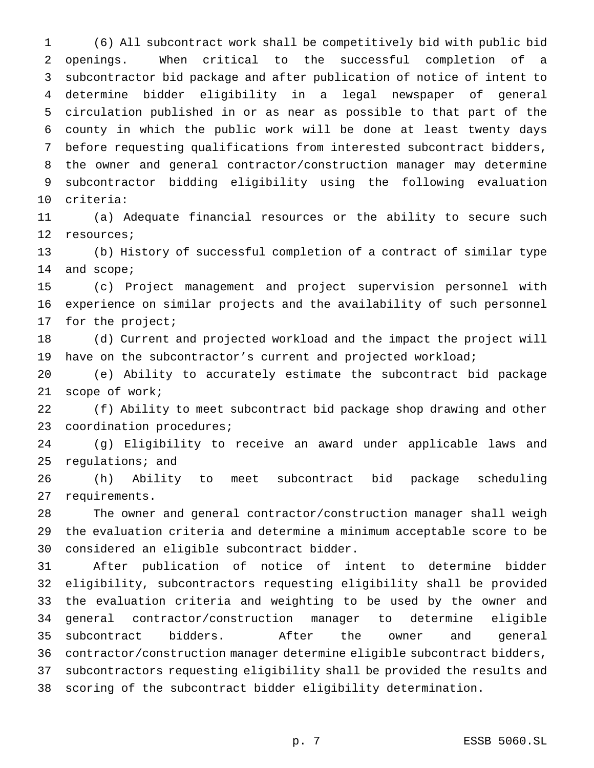(6) All subcontract work shall be competitively bid with public bid openings. When critical to the successful completion of a subcontractor bid package and after publication of notice of intent to determine bidder eligibility in a legal newspaper of general circulation published in or as near as possible to that part of the county in which the public work will be done at least twenty days before requesting qualifications from interested subcontract bidders, the owner and general contractor/construction manager may determine subcontractor bidding eligibility using the following evaluation criteria:

 (a) Adequate financial resources or the ability to secure such resources;

 (b) History of successful completion of a contract of similar type and scope;

 (c) Project management and project supervision personnel with experience on similar projects and the availability of such personnel 17 for the project;

 (d) Current and projected workload and the impact the project will 19 have on the subcontractor's current and projected workload;

 (e) Ability to accurately estimate the subcontract bid package scope of work;

 (f) Ability to meet subcontract bid package shop drawing and other coordination procedures;

 (g) Eligibility to receive an award under applicable laws and regulations; and

 (h) Ability to meet subcontract bid package scheduling requirements.

 The owner and general contractor/construction manager shall weigh the evaluation criteria and determine a minimum acceptable score to be considered an eligible subcontract bidder.

 After publication of notice of intent to determine bidder eligibility, subcontractors requesting eligibility shall be provided the evaluation criteria and weighting to be used by the owner and general contractor/construction manager to determine eligible subcontract bidders. After the owner and general contractor/construction manager determine eligible subcontract bidders, subcontractors requesting eligibility shall be provided the results and scoring of the subcontract bidder eligibility determination.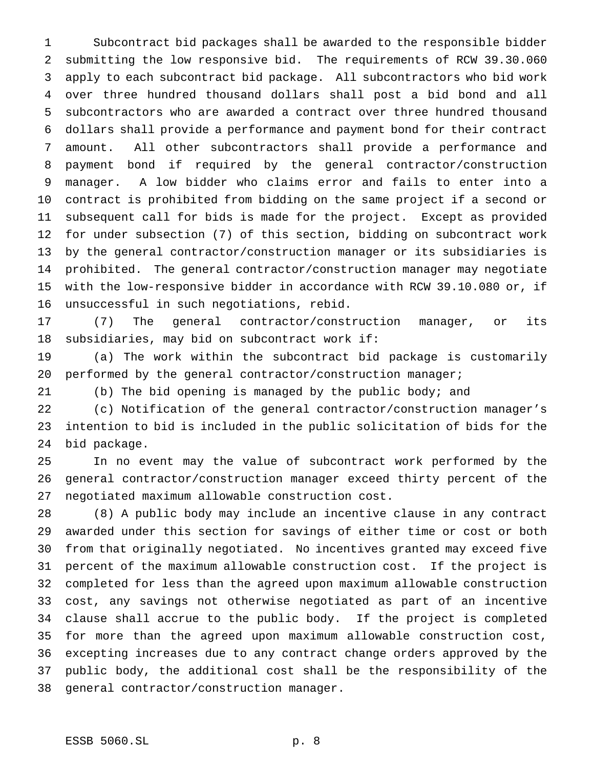Subcontract bid packages shall be awarded to the responsible bidder submitting the low responsive bid. The requirements of RCW 39.30.060 apply to each subcontract bid package. All subcontractors who bid work over three hundred thousand dollars shall post a bid bond and all subcontractors who are awarded a contract over three hundred thousand dollars shall provide a performance and payment bond for their contract amount. All other subcontractors shall provide a performance and payment bond if required by the general contractor/construction manager. A low bidder who claims error and fails to enter into a contract is prohibited from bidding on the same project if a second or subsequent call for bids is made for the project. Except as provided for under subsection (7) of this section, bidding on subcontract work by the general contractor/construction manager or its subsidiaries is prohibited. The general contractor/construction manager may negotiate with the low-responsive bidder in accordance with RCW 39.10.080 or, if unsuccessful in such negotiations, rebid.

 (7) The general contractor/construction manager, or its subsidiaries, may bid on subcontract work if:

 (a) The work within the subcontract bid package is customarily performed by the general contractor/construction manager;

(b) The bid opening is managed by the public body; and

 (c) Notification of the general contractor/construction manager's intention to bid is included in the public solicitation of bids for the bid package.

 In no event may the value of subcontract work performed by the general contractor/construction manager exceed thirty percent of the negotiated maximum allowable construction cost.

 (8) A public body may include an incentive clause in any contract awarded under this section for savings of either time or cost or both from that originally negotiated. No incentives granted may exceed five percent of the maximum allowable construction cost. If the project is completed for less than the agreed upon maximum allowable construction cost, any savings not otherwise negotiated as part of an incentive clause shall accrue to the public body. If the project is completed for more than the agreed upon maximum allowable construction cost, excepting increases due to any contract change orders approved by the public body, the additional cost shall be the responsibility of the general contractor/construction manager.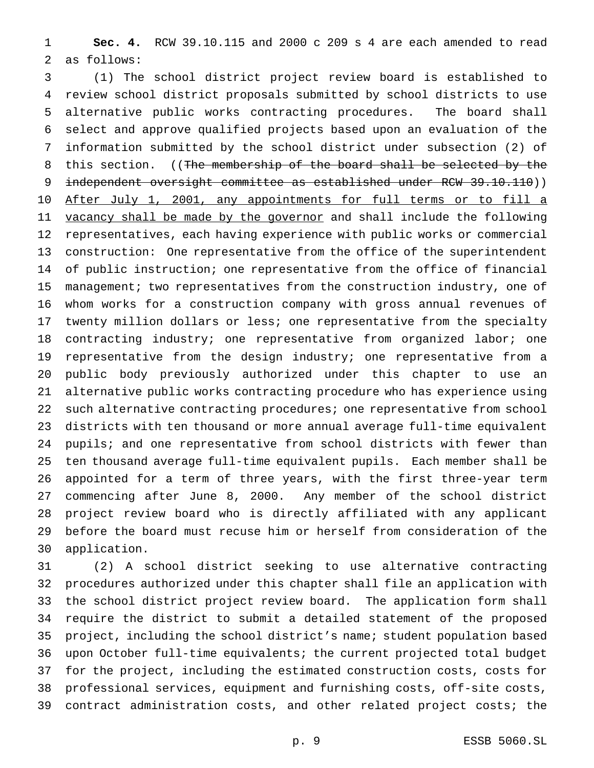**Sec. 4.** RCW 39.10.115 and 2000 c 209 s 4 are each amended to read as follows:

 (1) The school district project review board is established to review school district proposals submitted by school districts to use alternative public works contracting procedures. The board shall select and approve qualified projects based upon an evaluation of the information submitted by the school district under subsection (2) of 8 this section. ((The membership of the board shall be selected by the 9 independent oversight committee as established under RCW 39.10.110)) 10 After July 1, 2001, any appointments for full terms or to fill a 11 vacancy shall be made by the governor and shall include the following representatives, each having experience with public works or commercial construction: One representative from the office of the superintendent of public instruction; one representative from the office of financial management; two representatives from the construction industry, one of whom works for a construction company with gross annual revenues of twenty million dollars or less; one representative from the specialty contracting industry; one representative from organized labor; one representative from the design industry; one representative from a public body previously authorized under this chapter to use an alternative public works contracting procedure who has experience using such alternative contracting procedures; one representative from school districts with ten thousand or more annual average full-time equivalent pupils; and one representative from school districts with fewer than ten thousand average full-time equivalent pupils. Each member shall be appointed for a term of three years, with the first three-year term commencing after June 8, 2000. Any member of the school district project review board who is directly affiliated with any applicant before the board must recuse him or herself from consideration of the application.

 (2) A school district seeking to use alternative contracting procedures authorized under this chapter shall file an application with the school district project review board. The application form shall require the district to submit a detailed statement of the proposed project, including the school district's name; student population based upon October full-time equivalents; the current projected total budget for the project, including the estimated construction costs, costs for professional services, equipment and furnishing costs, off-site costs, contract administration costs, and other related project costs; the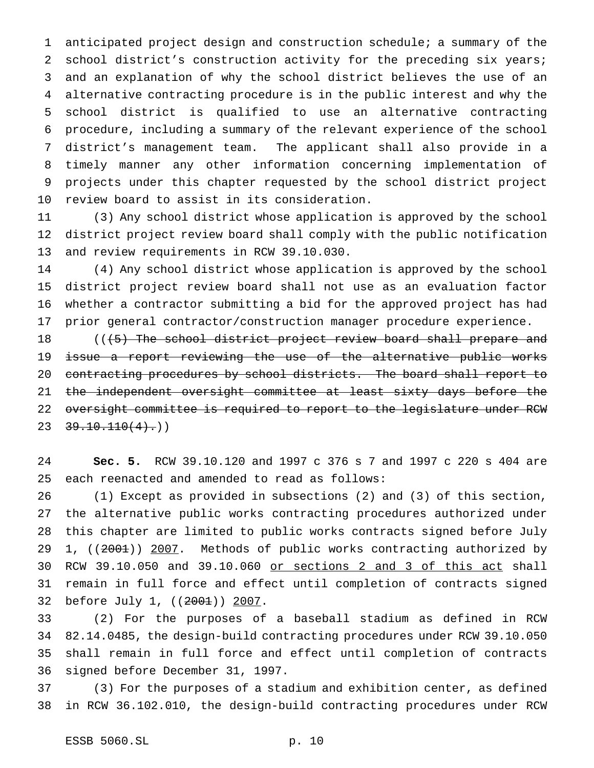anticipated project design and construction schedule; a summary of the school district's construction activity for the preceding six years; and an explanation of why the school district believes the use of an alternative contracting procedure is in the public interest and why the school district is qualified to use an alternative contracting procedure, including a summary of the relevant experience of the school district's management team. The applicant shall also provide in a timely manner any other information concerning implementation of projects under this chapter requested by the school district project review board to assist in its consideration.

 (3) Any school district whose application is approved by the school district project review board shall comply with the public notification and review requirements in RCW 39.10.030.

 (4) Any school district whose application is approved by the school district project review board shall not use as an evaluation factor whether a contractor submitting a bid for the approved project has had prior general contractor/construction manager procedure experience.

18 (((5) The school district project review board shall prepare and 19 issue a report reviewing the use of the alternative public works contracting procedures by school districts. The board shall report to the independent oversight committee at least sixty days before the 22 oversight committee is required to report to the legislature under RCW  $23 \quad 39.10.110(4).$ 

 **Sec. 5.** RCW 39.10.120 and 1997 c 376 s 7 and 1997 c 220 s 404 are each reenacted and amended to read as follows:

 (1) Except as provided in subsections (2) and (3) of this section, the alternative public works contracting procedures authorized under this chapter are limited to public works contracts signed before July 29 1, ((2001)) 2007. Methods of public works contracting authorized by RCW 39.10.050 and 39.10.060 or sections 2 and 3 of this act shall remain in full force and effect until completion of contracts signed 32 before July 1, ((2001)) 2007.

 (2) For the purposes of a baseball stadium as defined in RCW 82.14.0485, the design-build contracting procedures under RCW 39.10.050 shall remain in full force and effect until completion of contracts signed before December 31, 1997.

 (3) For the purposes of a stadium and exhibition center, as defined in RCW 36.102.010, the design-build contracting procedures under RCW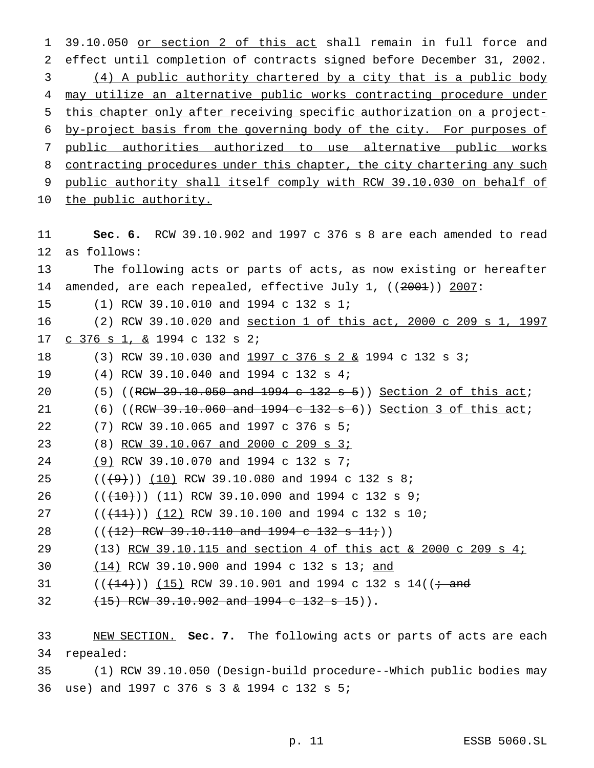39.10.050 or section 2 of this act shall remain in full force and effect until completion of contracts signed before December 31, 2002. (4) A public authority chartered by a city that is a public body 4 may utilize an alternative public works contracting procedure under this chapter only after receiving specific authorization on a project- by-project basis from the governing body of the city. For purposes of public authorities authorized to use alternative public works 8 contracting procedures under this chapter, the city chartering any such public authority shall itself comply with RCW 39.10.030 on behalf of 10 the public authority.

 **Sec. 6.** RCW 39.10.902 and 1997 c 376 s 8 are each amended to read as follows: The following acts or parts of acts, as now existing or hereafter 14 amended, are each repealed, effective July 1, ((2001)) 2007: (1) RCW 39.10.010 and 1994 c 132 s 1; (2) RCW 39.10.020 and section 1 of this act, 2000 c 209 s 1, 1997 c 376 s 1, & 1994 c 132 s 2; 18 (3) RCW 39.10.030 and 1997 c 376 s 2 & 1994 c 132 s 3; (4) RCW 39.10.040 and 1994 c 132 s 4; 20 (5) ((RCW  $39.10.050$  and  $1994$  c  $132$  s 5)) Section 2 of this act; 21 (6) ((RCW 39.10.060 and 1994 c 132 s 6)) Section 3 of this act; (7) RCW 39.10.065 and 1997 c 376 s 5; (8) RCW 39.10.067 and 2000 c 209 s 3; (9) RCW 39.10.070 and 1994 c 132 s 7; 25 ( $(\frac{49}{10})$  (10) RCW 39.10.080 and 1994 c 132 s 8; 26 ( $(\overline{(10)})$   $(11)$  RCW 39.10.090 and 1994 c 132 s 9; 27 ( $(\frac{11}{1})$ ) (12) RCW 39.10.100 and 1994 c 132 s 10;  $((+12)$  RCW 39.10.110 and 1994 c 132 s 11 $\dot{r}$ )) (13) RCW 39.10.115 and section 4 of this act & 2000 c 209 s 4; (14) RCW 39.10.900 and 1994 c 132 s 13; and 31 ( $(\frac{14}{14})$ ) (15) RCW 39.10.901 and 1994 c 132 s 14(( $\frac{1}{14}$  and  $(15)$  RCW 39.10.902 and 1994 c 132 s 15)). NEW SECTION. **Sec. 7.** The following acts or parts of acts are each repealed: (1) RCW 39.10.050 (Design-build procedure--Which public bodies may

use) and 1997 c 376s3& 1994 c 132 s 5;